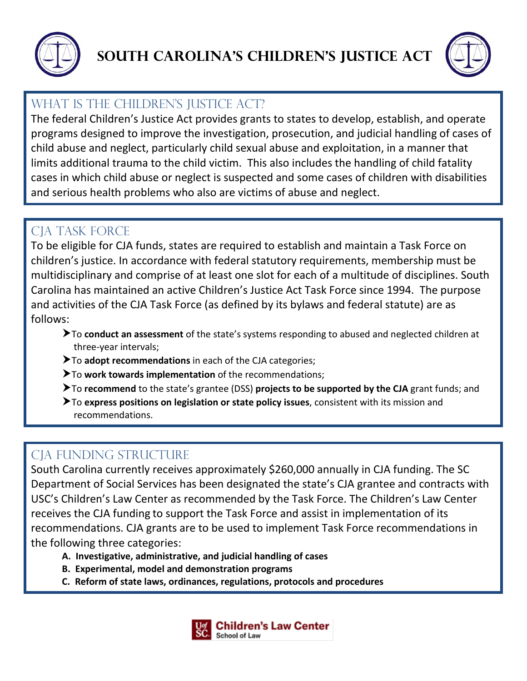



### WHAT IS THE CHILDREN'S JUSTICE ACT?

The federal Children's Justice Act provides grants to states to develop, establish, and operate programs designed to improve the investigation, prosecution, and judicial handling of cases of child abuse and neglect, particularly child sexual abuse and exploitation, in a manner that limits additional trauma to the child victim. This also includes the handling of child fatality cases in which child abuse or neglect is suspected and some cases of children with disabilities and serious health problems who also are victims of abuse and neglect.

### CIA TASK FORCE

To be eligible for CJA funds, states are required to establish and maintain a Task Force on children's justice. In accordance with federal statutory requirements, membership must be multidisciplinary and comprise of at least one slot for each of a multitude of disciplines. South Carolina has maintained an active Children's Justice Act Task Force since 1994. The purpose and activities of the CJA Task Force (as defined by its bylaws and federal statute) are as follows:

- To **conduct an assessment** of the state's systems responding to abused and neglected children at three-year intervals;
- To **adopt recommendations** in each of the CJA categories;
- To **work towards implementation** of the recommendations;
- To **recommend** to the state's grantee (DSS) **projects to be supported by the CJA** grant funds; and
- To **express positions on legislation or state policy issues**, consistent with its mission and recommendations.

# CIA FUNDING STRUCTURE

South Carolina currently receives approximately \$260,000 annually in CJA funding. The SC Department of Social Services has been designated the state's CJA grantee and contracts with USC's Children's Law Center as recommended by the Task Force. The Children's Law Center receives the CJA funding to support the Task Force and assist in implementation of its recommendations. CJA grants are to be used to implement Task Force recommendations in the following three categories:

- **A. Investigative, administrative, and judicial handling of cases**
- **B. Experimental, model and demonstration programs**
- **C. Reform of state laws, ordinances, regulations, protocols and procedures**